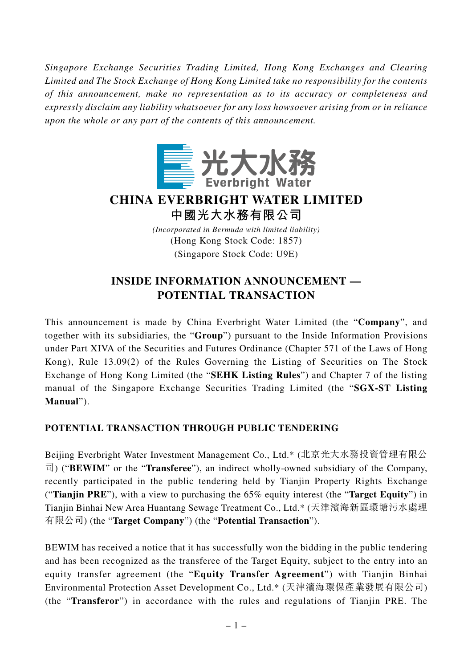*Singapore Exchange Securities Trading Limited, Hong Kong Exchanges and Clearing Limited and The Stock Exchange of Hong Kong Limited take no responsibility for the contents of this announcement, make no representation as to its accuracy or completeness and expressly disclaim any liability whatsoever for any loss howsoever arising from or in reliance upon the whole or any part of the contents of this announcement.*



# **CHINA EVERBRIGHT WATER LIMITED 中國光大水務有限公司**

*(Incorporated in Bermuda with limited liability)* (Hong Kong Stock Code: 1857) (Singapore Stock Code: U9E)

# **INSIDE INFORMATION ANNOUNCEMENT — POTENTIAL TRANSACTION**

This announcement is made by China Everbright Water Limited (the "**Company**", and together with its subsidiaries, the "**Group**") pursuant to the Inside Information Provisions under Part XIVA of the Securities and Futures Ordinance (Chapter 571 of the Laws of Hong Kong), Rule 13.09(2) of the Rules Governing the Listing of Securities on The Stock Exchange of Hong Kong Limited (the "**SEHK Listing Rules**") and Chapter 7 of the listing manual of the Singapore Exchange Securities Trading Limited (the "**SGX-ST Listing Manual**").

### **POTENTIAL TRANSACTION THROUGH PUBLIC TENDERING**

Beijing Everbright Water Investment Management Co., Ltd.\* (北京光大水務投資管理有限公 司) ("**BEWIM**" or the "**Transferee**"), an indirect wholly-owned subsidiary of the Company, recently participated in the public tendering held by Tianjin Property Rights Exchange ("**Tianjin PRE**"), with a view to purchasing the 65% equity interest (the "**Target Equity**") in Tianjin Binhai New Area Huantang Sewage Treatment Co., Ltd.\* (天津濱海新區環塘污水處理 有限公司) (the "**Target Company**") (the "**Potential Transaction**").

BEWIM has received a notice that it has successfully won the bidding in the public tendering and has been recognized as the transferee of the Target Equity, subject to the entry into an equity transfer agreement (the "**Equity Transfer Agreement**") with Tianjin Binhai Environmental Protection Asset Development Co., Ltd.\* (天津濱海環保產業發展有限公司) (the "**Transferor**") in accordance with the rules and regulations of Tianjin PRE. The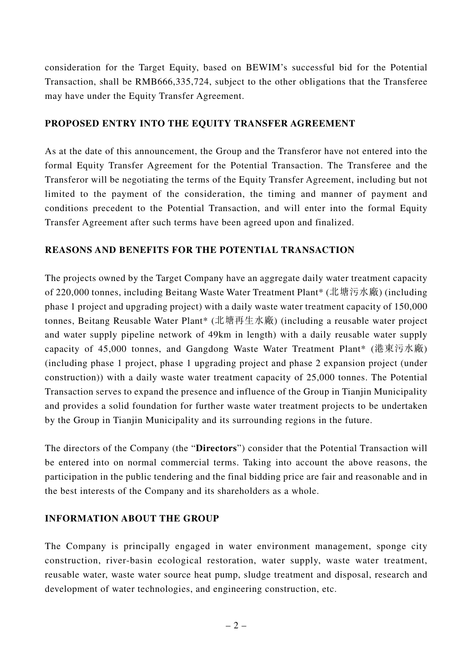consideration for the Target Equity, based on BEWIM's successful bid for the Potential Transaction, shall be RMB666,335,724, subject to the other obligations that the Transferee may have under the Equity Transfer Agreement.

#### **PROPOSED ENTRY INTO THE EQUITY TRANSFER AGREEMENT**

As at the date of this announcement, the Group and the Transferor have not entered into the formal Equity Transfer Agreement for the Potential Transaction. The Transferee and the Transferor will be negotiating the terms of the Equity Transfer Agreement, including but not limited to the payment of the consideration, the timing and manner of payment and conditions precedent to the Potential Transaction, and will enter into the formal Equity Transfer Agreement after such terms have been agreed upon and finalized.

#### **REASONS AND BENEFITS FOR THE POTENTIAL TRANSACTION**

The projects owned by the Target Company have an aggregate daily water treatment capacity of 220,000 tonnes, including Beitang Waste Water Treatment Plant\* (北塘污水廠) (including phase 1 project and upgrading project) with a daily waste water treatment capacity of 150,000 tonnes, Beitang Reusable Water Plant\* (北塘再生水廠) (including a reusable water project and water supply pipeline network of 49km in length) with a daily reusable water supply capacity of 45,000 tonnes, and Gangdong Waste Water Treatment Plant\* (港東污水廠) (including phase 1 project, phase 1 upgrading project and phase 2 expansion project (under construction)) with a daily waste water treatment capacity of 25,000 tonnes. The Potential Transaction serves to expand the presence and influence of the Group in Tianjin Municipality and provides a solid foundation for further waste water treatment projects to be undertaken by the Group in Tianjin Municipality and its surrounding regions in the future.

The directors of the Company (the "**Directors**") consider that the Potential Transaction will be entered into on normal commercial terms. Taking into account the above reasons, the participation in the public tendering and the final bidding price are fair and reasonable and in the best interests of the Company and its shareholders as a whole.

### **INFORMATION ABOUT THE GROUP**

The Company is principally engaged in water environment management, sponge city construction, river-basin ecological restoration, water supply, waste water treatment, reusable water, waste water source heat pump, sludge treatment and disposal, research and development of water technologies, and engineering construction, etc.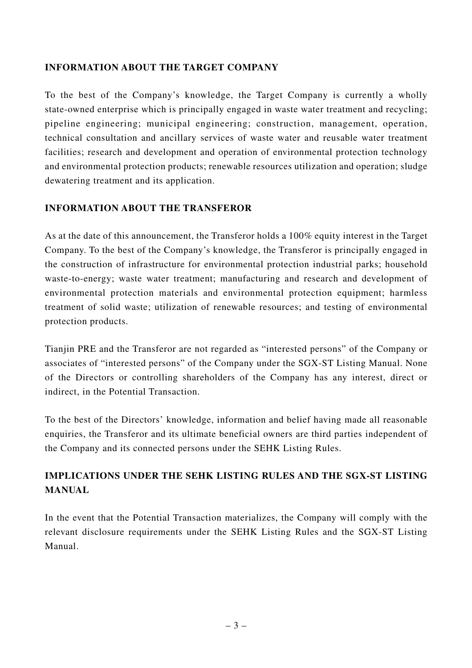#### **INFORMATION ABOUT THE TARGET COMPANY**

To the best of the Company's knowledge, the Target Company is currently a wholly state-owned enterprise which is principally engaged in waste water treatment and recycling; pipeline engineering; municipal engineering; construction, management, operation, technical consultation and ancillary services of waste water and reusable water treatment facilities; research and development and operation of environmental protection technology and environmental protection products; renewable resources utilization and operation; sludge dewatering treatment and its application.

#### **INFORMATION ABOUT THE TRANSFEROR**

As at the date of this announcement, the Transferor holds a 100% equity interest in the Target Company. To the best of the Company's knowledge, the Transferor is principally engaged in the construction of infrastructure for environmental protection industrial parks; household waste-to-energy; waste water treatment; manufacturing and research and development of environmental protection materials and environmental protection equipment; harmless treatment of solid waste; utilization of renewable resources; and testing of environmental protection products.

Tianjin PRE and the Transferor are not regarded as "interested persons" of the Company or associates of "interested persons" of the Company under the SGX-ST Listing Manual. None of the Directors or controlling shareholders of the Company has any interest, direct or indirect, in the Potential Transaction.

To the best of the Directors' knowledge, information and belief having made all reasonable enquiries, the Transferor and its ultimate beneficial owners are third parties independent of the Company and its connected persons under the SEHK Listing Rules.

## **IMPLICATIONS UNDER THE SEHK LISTING RULES AND THE SGX-ST LISTING MANUAL**

In the event that the Potential Transaction materializes, the Company will comply with the relevant disclosure requirements under the SEHK Listing Rules and the SGX-ST Listing Manual.